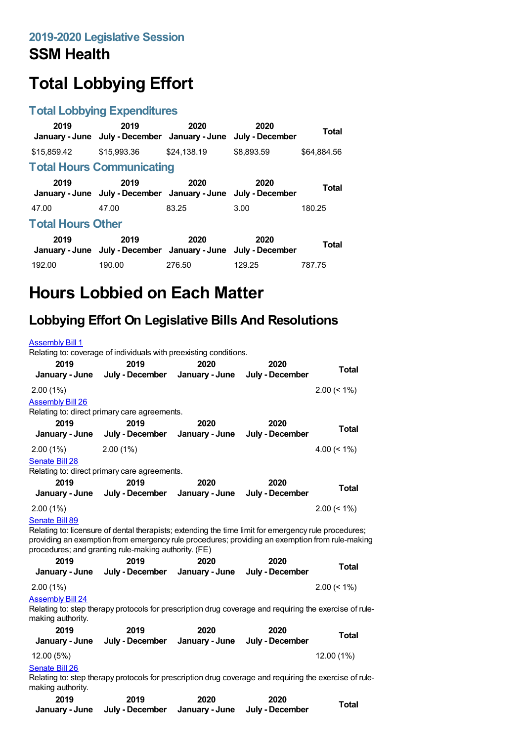# **Total Lobbying Effort**

#### **Total Lobbying Expenditures**

| 2019<br>January - June   | 2019<br>July - December January - June                                | 2020        | 2020<br>July - December | Total       |  |  |
|--------------------------|-----------------------------------------------------------------------|-------------|-------------------------|-------------|--|--|
| \$15,859.42              | \$15,993.36                                                           | \$24,138.19 | \$8,893.59              | \$64.884.56 |  |  |
|                          | <b>Total Hours Communicating</b>                                      |             |                         |             |  |  |
| 2019                     | 2019<br>January - June July - December January - June July - December | 2020        | 2020                    | Total       |  |  |
| 47.00                    | 47.00                                                                 | 83.25       | 3.00                    | 180.25      |  |  |
| <b>Total Hours Other</b> |                                                                       |             |                         |             |  |  |
| 2019                     | 2019<br>January - June July - December January - June                 | 2020        | 2020<br>July - December | Total       |  |  |
| 192.00                   | 190.00                                                                | 276.50      | 129.25                  | 787.75      |  |  |

## **Hours Lobbied on Each Matter**

## **Lobbying Effort On Legislative Bills And Resolutions**

| <b>Assembly Bill 1</b>                       |                                                                                                                                                                                                                                                                |                |                                |                   |
|----------------------------------------------|----------------------------------------------------------------------------------------------------------------------------------------------------------------------------------------------------------------------------------------------------------------|----------------|--------------------------------|-------------------|
| 2019                                         | Relating to: coverage of individuals with preexisting conditions.<br>2019                                                                                                                                                                                      | 2020           | 2020                           |                   |
| January - June                               | July - December                                                                                                                                                                                                                                                | January - June | July - December                | <b>Total</b>      |
| $2.00(1\%)$                                  |                                                                                                                                                                                                                                                                |                |                                | $2.00 \le 1\%$    |
| <b>Assembly Bill 26</b>                      |                                                                                                                                                                                                                                                                |                |                                |                   |
|                                              | Relating to: direct primary care agreements.                                                                                                                                                                                                                   |                |                                |                   |
| 2019                                         | 2019                                                                                                                                                                                                                                                           | 2020           | 2020                           | <b>Total</b>      |
| January - June                               | July - December                                                                                                                                                                                                                                                | January - June | July - December                |                   |
| $2.00(1\%)$                                  | $2.00(1\%)$                                                                                                                                                                                                                                                    |                |                                | 4.00 ( $\leq$ 1%) |
| Senate Bill 28                               |                                                                                                                                                                                                                                                                |                |                                |                   |
|                                              | Relating to: direct primary care agreements.                                                                                                                                                                                                                   |                |                                |                   |
| 2019                                         | 2019                                                                                                                                                                                                                                                           | 2020           | 2020                           | <b>Total</b>      |
| January - June                               | July - December                                                                                                                                                                                                                                                | January - June | July - December                |                   |
| 2.00(1%)                                     |                                                                                                                                                                                                                                                                |                |                                | $2.00 \le 1\%$    |
| Senate Bill 89                               | Relating to: licensure of dental therapists; extending the time limit for emergency rule procedures;<br>providing an exemption from emergency rule procedures; providing an exemption from rule-making<br>procedures; and granting rule-making authority. (FE) |                |                                |                   |
| 2019                                         | 2019                                                                                                                                                                                                                                                           | 2020           | 2020                           |                   |
|                                              | January - June July - December                                                                                                                                                                                                                                 |                | January - June July - December | <b>Total</b>      |
| $2.00(1\%)$                                  |                                                                                                                                                                                                                                                                |                |                                | $2.00 \le 1\%$    |
| <b>Assembly Bill 24</b><br>making authority. | Relating to: step therapy protocols for prescription drug coverage and requiring the exercise of rule-                                                                                                                                                         |                |                                |                   |
| 2019                                         | 2019                                                                                                                                                                                                                                                           | 2020           | 2020                           | <b>Total</b>      |
| January - June                               | July - December                                                                                                                                                                                                                                                |                | January - June July - December |                   |
| 12.00(5%)                                    |                                                                                                                                                                                                                                                                |                |                                | 12.00 (1%)        |
| Senate Bill 26<br>making authority.          | Relating to: step therapy protocols for prescription drug coverage and requiring the exercise of rule-                                                                                                                                                         |                |                                |                   |
| 2019                                         | 2019                                                                                                                                                                                                                                                           | 2020           | 2020                           | Total             |

**January - June July - December January - June July - December**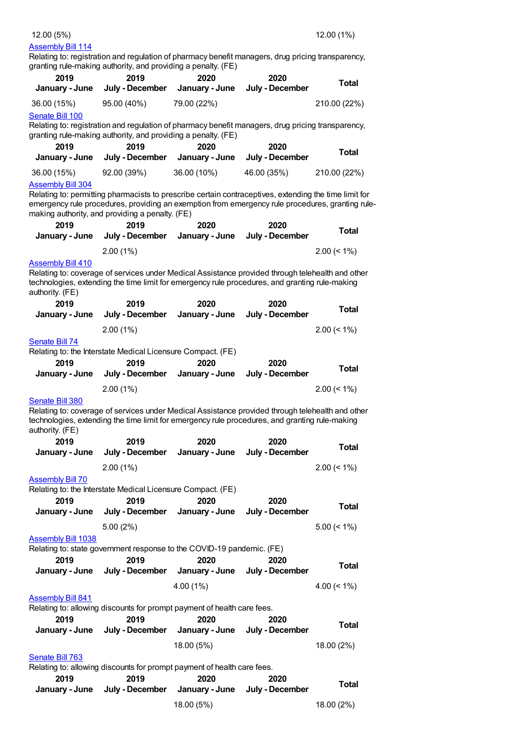### [Assembly](https://lobbying.wi.gov/What/BillInformation/2019REG/Information/16247?tab=Efforts) Bill 114

Relating to: registration and regulation of pharmacy benefit managers, drug pricing transparency, granting rule-making authority, and providing a penalty. (FE)

| 2019                      | 2019                                                                                                                                                                                               | 2020<br>January - June | 2020                    | <b>Total</b>   |
|---------------------------|----------------------------------------------------------------------------------------------------------------------------------------------------------------------------------------------------|------------------------|-------------------------|----------------|
| January - June            | July - December                                                                                                                                                                                    |                        | July - December         |                |
| 36.00 (15%)               | 95.00 (40%)                                                                                                                                                                                        | 79.00 (22%)            |                         | 210.00 (22%)   |
| <b>Senate Bill 100</b>    | Relating to: registration and regulation of pharmacy benefit managers, drug pricing transparency,                                                                                                  |                        |                         |                |
|                           | granting rule-making authority, and providing a penalty. (FE)                                                                                                                                      |                        |                         |                |
| 2019                      | 2019                                                                                                                                                                                               | 2020                   | 2020                    |                |
| January - June            | July - December                                                                                                                                                                                    | January - June         | July - December         | <b>Total</b>   |
| 36.00 (15%)               | 92.00 (39%)                                                                                                                                                                                        | 36.00 (10%)            | 46.00 (35%)             | 210.00 (22%)   |
| <b>Assembly Bill 304</b>  |                                                                                                                                                                                                    |                        |                         |                |
|                           | Relating to: permitting pharmacists to prescribe certain contraceptives, extending the time limit for                                                                                              |                        |                         |                |
|                           | emergency rule procedures, providing an exemption from emergency rule procedures, granting rule-<br>making authority, and providing a penalty. (FE)                                                |                        |                         |                |
| 2019                      | 2019                                                                                                                                                                                               | 2020                   | 2020                    |                |
| January - June            | July - December                                                                                                                                                                                    | January - June         | July - December         | <b>Total</b>   |
|                           | 2.00(1%)                                                                                                                                                                                           |                        |                         | $2.00 \le 1\%$ |
| <b>Assembly Bill 410</b>  |                                                                                                                                                                                                    |                        |                         |                |
|                           | Relating to: coverage of services under Medical Assistance provided through telehealth and other                                                                                                   |                        |                         |                |
| authority. (FE)           | technologies, extending the time limit for emergency rule procedures, and granting rule-making                                                                                                     |                        |                         |                |
| 2019                      | 2019                                                                                                                                                                                               | 2020                   | 2020                    | <b>Total</b>   |
| January - June            | July - December                                                                                                                                                                                    | January - June         | July - December         |                |
|                           | $2.00(1\%)$                                                                                                                                                                                        |                        |                         | $2.00 \le 1\%$ |
| <b>Senate Bill 74</b>     |                                                                                                                                                                                                    |                        |                         |                |
|                           | Relating to: the Interstate Medical Licensure Compact. (FE)                                                                                                                                        |                        |                         |                |
| 2019                      | 2019                                                                                                                                                                                               | 2020                   | 2020                    | <b>Total</b>   |
| January - June            | July - December                                                                                                                                                                                    | January - June         | July - December         |                |
|                           | 2.00(1%)                                                                                                                                                                                           |                        |                         | $2.00 \le 1\%$ |
| Senate Bill 380           |                                                                                                                                                                                                    |                        |                         |                |
| authority. (FE)           | Relating to: coverage of services under Medical Assistance provided through telehealth and other<br>technologies, extending the time limit for emergency rule procedures, and granting rule-making |                        |                         |                |
| 2019                      | 2019                                                                                                                                                                                               | 2020                   | 2020                    |                |
| January - June            | July - December                                                                                                                                                                                    | January - June         | July - December         | <b>Total</b>   |
|                           | $2.00(1\%)$                                                                                                                                                                                        |                        |                         | $2.00 \le 1\%$ |
| <b>Assembly Bill 70</b>   |                                                                                                                                                                                                    |                        |                         |                |
|                           | Relating to: the Interstate Medical Licensure Compact. (FE)                                                                                                                                        |                        |                         |                |
| 2019                      | 2019                                                                                                                                                                                               | 2020                   | 2020                    | <b>Total</b>   |
| January - June            | July - December                                                                                                                                                                                    | January - June         | July - December         |                |
|                           | 5.00(2%)                                                                                                                                                                                           |                        |                         | $5.00 \le 1\%$ |
| <b>Assembly Bill 1038</b> |                                                                                                                                                                                                    |                        |                         |                |
|                           | Relating to: state government response to the COVID-19 pandemic. (FE)                                                                                                                              |                        |                         |                |
| 2019                      | 2019                                                                                                                                                                                               | 2020                   | 2020                    | <b>Total</b>   |
| January - June            | July - December                                                                                                                                                                                    | January - June         | July - December         |                |
|                           |                                                                                                                                                                                                    | 4.00 (1%)              |                         | 4.00 $(< 1\%)$ |
| <b>Assembly Bill 841</b>  |                                                                                                                                                                                                    |                        |                         |                |
|                           | Relating to: allowing discounts for prompt payment of health care fees.                                                                                                                            |                        |                         |                |
| 2019                      | 2019                                                                                                                                                                                               | 2020                   | 2020<br>July - December | <b>Total</b>   |
| January - June            | July - December                                                                                                                                                                                    | January - June         |                         |                |
|                           |                                                                                                                                                                                                    | 18.00 (5%)             |                         | 18.00 (2%)     |
| Senate Bill 763           | Relating to: allowing discounts for prompt payment of health care fees.                                                                                                                            |                        |                         |                |
| 2019                      | 2019                                                                                                                                                                                               | 2020                   | 2020                    |                |
| January - June            | July - December                                                                                                                                                                                    | January - June         | July - December         | <b>Total</b>   |
|                           |                                                                                                                                                                                                    | 18.00 (5%)             |                         | 18.00 (2%)     |
|                           |                                                                                                                                                                                                    |                        |                         |                |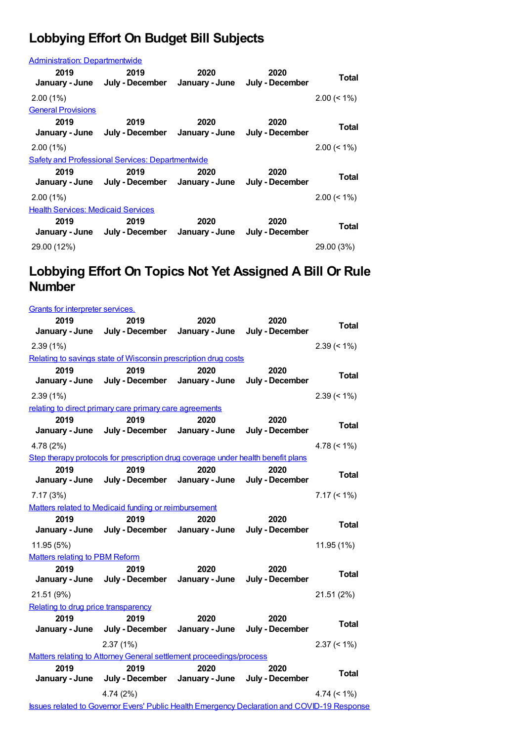## **Lobbying Effort On Budget Bill Subjects**

| <b>Administration: Departmentwide</b>     |                                                                       |      |                         |                |  |
|-------------------------------------------|-----------------------------------------------------------------------|------|-------------------------|----------------|--|
| 2019                                      | 2019<br>January - June July - December January - June                 | 2020 | 2020<br>July - December | Total          |  |
| $2.00(1\%)$                               |                                                                       |      |                         | $2.00 \le 1\%$ |  |
| <b>General Provisions</b>                 |                                                                       |      |                         |                |  |
| 2019                                      | 2019<br>January - June July - December January - June July - December | 2020 | 2020                    | Total          |  |
| $2.00(1\%)$                               |                                                                       |      |                         | $2.00 \le 1\%$ |  |
|                                           | Safety and Professional Services: Departmentwide                      |      |                         |                |  |
| 2019                                      | 2019<br>January - June July - December January - June                 | 2020 | 2020<br>July - December | Total          |  |
| $2.00(1\%)$                               |                                                                       |      |                         | $2.00 \le 1\%$ |  |
| <b>Health Services: Medicaid Services</b> |                                                                       |      |                         |                |  |
| 2019                                      | 2019<br>January - June July - December January - June                 | 2020 | 2020<br>July - December | Total          |  |
| 29.00 (12%)                               |                                                                       |      |                         | 29.00 (3%)     |  |

### **Lobbying Effort On Topics Not Yet Assigned A Bill Or Rule Number**

| <b>Grants for interpreter services.</b>                             |                                                                                                    |                        |                         |                |
|---------------------------------------------------------------------|----------------------------------------------------------------------------------------------------|------------------------|-------------------------|----------------|
| 2019                                                                | 2019                                                                                               | 2020                   | 2020                    | <b>Total</b>   |
| January - June                                                      | July - December                                                                                    | January - June         | July - December         |                |
| 2.39(1%)                                                            |                                                                                                    |                        |                         | $2.39 \le 1\%$ |
|                                                                     | Relating to savings state of Wisconsin prescription drug costs                                     |                        |                         |                |
| 2019<br>January - June                                              | 2019<br>July - December                                                                            | 2020<br>January - June | 2020<br>July - December | Total          |
| 2.39(1%)                                                            |                                                                                                    |                        |                         | $2.39 \le 1\%$ |
|                                                                     | relating to direct primary care primary care agreements                                            |                        |                         |                |
| 2019<br>January - June                                              | 2019<br>July - December                                                                            | 2020<br>January - June | 2020<br>July - December | <b>Total</b>   |
| 4.78 (2%)                                                           |                                                                                                    |                        |                         | 4.78 $(< 1\%)$ |
|                                                                     | Step therapy protocols for prescription drug coverage under health benefit plans                   |                        |                         |                |
| 2019                                                                | 2019                                                                                               | 2020                   | 2020                    | Total          |
| January - June                                                      | July - December                                                                                    | January - June         | July - December         |                |
| 7.17(3%)                                                            |                                                                                                    |                        |                         | $7.17 \le 1\%$ |
|                                                                     | Matters related to Medicaid funding or reimbursement                                               |                        |                         |                |
| 2019                                                                | 2019                                                                                               | 2020                   | 2020                    | <b>Total</b>   |
| January - June                                                      | July - December                                                                                    | January - June         | July - December         |                |
| 11.95 (5%)                                                          |                                                                                                    |                        |                         | 11.95 (1%)     |
| <b>Matters relating to PBM Reform</b><br>2019                       | 2019                                                                                               | 2020                   | 2020                    |                |
| January - June                                                      | July - December                                                                                    | January - June         | July - December         | Total          |
| 21.51 (9%)                                                          |                                                                                                    |                        |                         | 21.51 (2%)     |
| Relating to drug price transparency                                 |                                                                                                    |                        |                         |                |
| 2019                                                                | 2019                                                                                               | 2020                   | 2020                    |                |
| January - June                                                      | July - December                                                                                    | January - June         | July - December         | Total          |
|                                                                     | 2.37(1%)                                                                                           |                        |                         | $2.37 \le 1\%$ |
| Matters relating to Attorney General settlement proceedings/process |                                                                                                    |                        |                         |                |
| 2019                                                                | 2019                                                                                               | 2020                   | 2020                    | <b>Total</b>   |
| January - June                                                      | July - December                                                                                    | January - June         | July - December         |                |
|                                                                     | 4.74 (2%)                                                                                          |                        |                         | $4.74 (< 1\%)$ |
|                                                                     | <b>Issues related to Governor Evers' Public Health Emergency Declaration and COVID-19 Response</b> |                        |                         |                |